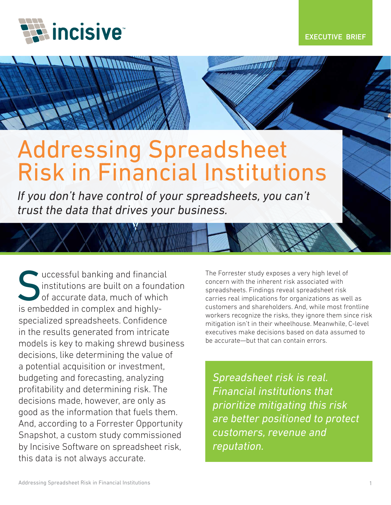

# Addressing Spreadsheet Risk in Financial Institutions

*If you don't have control of your spreadsheets, you can't trust the data that drives your business.*

successful banking and financial institutions are built on a foundation of accurate data, much of which is embedded in complex and highlyspecialized spreadsheets. Confidence in the results generated from intricate models is key to making shrewd business decisions, like determining the value of a potential acquisition or investment, budgeting and forecasting, analyzing profitability and determining risk. The decisions made, however, are only as good as the information that fuels them. And, according to a Forrester Opportunity Snapshot, a custom study commissioned by Incisive Software on spreadsheet risk, this data is not always accurate.

The Forrester study exposes a very high level of concern with the inherent risk associated with spreadsheets. Findings reveal spreadsheet risk carries real implications for organizations as well as customers and shareholders. And, while most frontline workers recognize the risks, they ignore them since risk mitigation isn't in their wheelhouse. Meanwhile, C-level executives make decisions based on data assumed to be accurate—but that can contain errors.

*Spreadsheet risk is real. Financial institutions that prioritize mitigating this risk are better positioned to protect customers, revenue and reputation.*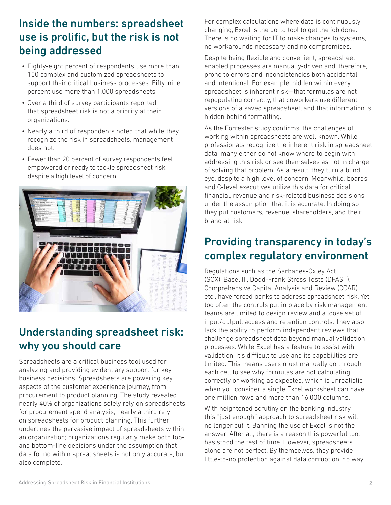### Inside the numbers: spreadsheet use is prolific, but the risk is not being addressed

- Eighty-eight percent of respondents use more than 100 complex and customized spreadsheets to support their critical business processes. Fifty-nine percent use more than 1,000 spreadsheets.
- Over a third of survey participants reported that spreadsheet risk is not a priority at their organizations.
- Nearly a third of respondents noted that while they recognize the risk in spreadsheets, management does not.
- Fewer than 20 percent of survey respondents feel empowered or ready to tackle spreadsheet risk despite a high level of concern.



### Understanding spreadsheet risk: why you should care

Spreadsheets are a critical business tool used for analyzing and providing evidentiary support for key business decisions. Spreadsheets are powering key aspects of the customer experience journey, from procurement to product planning. The study revealed nearly 40% of organizations solely rely on spreadsheets for procurement spend analysis; nearly a third rely on spreadsheets for product planning. This further underlines the pervasive impact of spreadsheets within an organization; organizations regularly make both topand bottom-line decisions under the assumption that data found within spreadsheets is not only accurate, but also complete.

For complex calculations where data is continuously changing, Excel is the go-to tool to get the job done. There is no waiting for IT to make changes to systems, no workarounds necessary and no compromises.

Despite being flexible and convenient, spreadsheetenabled processes are manually-driven and, therefore, prone to errors and inconsistencies both accidental and intentional. For example, hidden within every spreadsheet is inherent risk—that formulas are not repopulating correctly, that coworkers use different versions of a saved spreadsheet, and that information is hidden behind formatting.

As the Forrester study confirms, the challenges of working within spreadsheets are well known. While professionals recognize the inherent risk in spreadsheet data, many either do not know where to begin with addressing this risk or see themselves as not in charge of solving that problem. As a result, they turn a blind eye, despite a high level of concern. Meanwhile, boards and C-level executives utilize this data for critical financial, revenue and risk-related business decisions under the assumption that it is accurate. In doing so they put customers, revenue, shareholders, and their brand at risk.

## Providing transparency in today's complex regulatory environment

Regulations such as the Sarbanes-Oxley Act (SOX), Basel III, Dodd-Frank Stress Tests (DFAST), Comprehensive Capital Analysis and Review (CCAR) etc., have forced banks to address spreadsheet risk. Yet too often the controls put in place by risk management teams are limited to design review and a loose set of input/output, access and retention controls. They also lack the ability to perform independent reviews that challenge spreadsheet data beyond manual validation processes. While Excel has a feature to assist with validation, it's difficult to use and its capabilities are limited. This means users must manually go through each cell to see why formulas are not calculating correctly or working as expected, which is unrealistic when you consider a single Excel worksheet can have one million rows and more than 16,000 columns.

With heightened scrutiny on the banking industry, this "just enough" approach to spreadsheet risk will no longer cut it. Banning the use of Excel is not the answer. After all, there is a reason this powerful tool has stood the test of time. However, spreadsheets alone are not perfect. By themselves, they provide little-to-no protection against data corruption, no way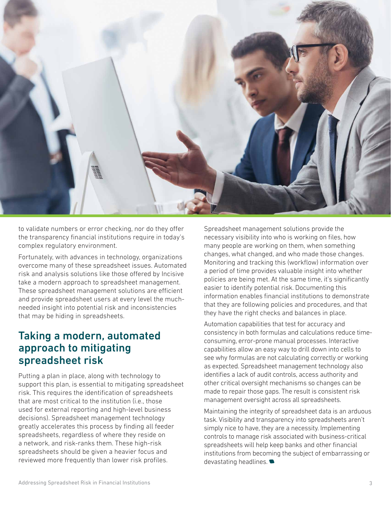

to validate numbers or error checking, nor do they offer the transparency financial institutions require in today's complex regulatory environment.

Fortunately, with advances in technology, organizations overcome many of these spreadsheet issues. Automated risk and analysis solutions like those offered by Incisive take a modern approach to spreadsheet management. These spreadsheet management solutions are efficient and provide spreadsheet users at every level the muchneeded insight into potential risk and inconsistencies that may be hiding in spreadsheets.

#### Taking a modern, automated approach to mitigating spreadsheet risk

Putting a plan in place, along with technology to support this plan, is essential to mitigating spreadsheet risk. This requires the identification of spreadsheets that are most critical to the institution (i.e., those used for external reporting and high-level business decisions). Spreadsheet management technology greatly accelerates this process by finding all feeder spreadsheets, regardless of where they reside on a network, and risk-ranks them. These high-risk spreadsheets should be given a heavier focus and reviewed more frequently than lower risk profiles.

Spreadsheet management solutions provide the necessary visibility into who is working on files, how many people are working on them, when something changes, what changed, and who made those changes. Monitoring and tracking this (workflow) information over a period of time provides valuable insight into whether policies are being met. At the same time, it's significantly easier to identify potential risk. Documenting this information enables financial institutions to demonstrate that they are following policies and procedures, and that they have the right checks and balances in place.

Automation capabilities that test for accuracy and consistency in both formulas and calculations reduce timeconsuming, error-prone manual processes. Interactive capabilities allow an easy way to drill down into cells to see why formulas are not calculating correctly or working as expected. Spreadsheet management technology also identifies a lack of audit controls, access authority and other critical oversight mechanisms so changes can be made to repair those gaps. The result is consistent risk management oversight across all spreadsheets.

Maintaining the integrity of spreadsheet data is an arduous task. Visibility and transparency into spreadsheets aren't simply nice to have, they are a necessity. Implementing controls to manage risk associated with business-critical spreadsheets will help keep banks and other financial institutions from becoming the subject of embarrassing or devastating headlines.